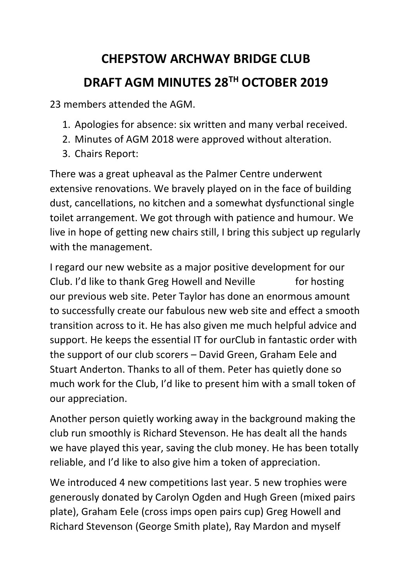## **CHEPSTOW ARCHWAY BRIDGE CLUB DRAFT AGM MINUTES 28TH OCTOBER 2019**

23 members attended the AGM.

- 1. Apologies for absence: six written and many verbal received.
- 2. Minutes of AGM 2018 were approved without alteration.
- 3. Chairs Report:

There was a great upheaval as the Palmer Centre underwent extensive renovations. We bravely played on in the face of building dust, cancellations, no kitchen and a somewhat dysfunctional single toilet arrangement. We got through with patience and humour. We live in hope of getting new chairs still, I bring this subject up regularly with the management.

I regard our new website as a major positive development for our Club. I'd like to thank Greg Howell and Neville for hosting our previous web site. Peter Taylor has done an enormous amount to successfully create our fabulous new web site and effect a smooth transition across to it. He has also given me much helpful advice and support. He keeps the essential IT for ourClub in fantastic order with the support of our club scorers – David Green, Graham Eele and Stuart Anderton. Thanks to all of them. Peter has quietly done so much work for the Club, I'd like to present him with a small token of our appreciation.

Another person quietly working away in the background making the club run smoothly is Richard Stevenson. He has dealt all the hands we have played this year, saving the club money. He has been totally reliable, and I'd like to also give him a token of appreciation.

We introduced 4 new competitions last year. 5 new trophies were generously donated by Carolyn Ogden and Hugh Green (mixed pairs plate), Graham Eele (cross imps open pairs cup) Greg Howell and Richard Stevenson (George Smith plate), Ray Mardon and myself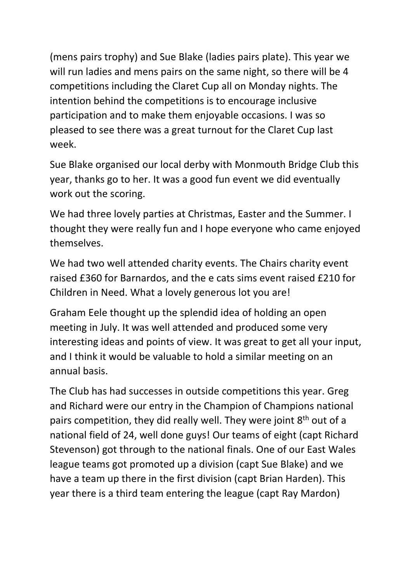(mens pairs trophy) and Sue Blake (ladies pairs plate). This year we will run ladies and mens pairs on the same night, so there will be 4 competitions including the Claret Cup all on Monday nights. The intention behind the competitions is to encourage inclusive participation and to make them enjoyable occasions. I was so pleased to see there was a great turnout for the Claret Cup last week.

Sue Blake organised our local derby with Monmouth Bridge Club this year, thanks go to her. It was a good fun event we did eventually work out the scoring.

We had three lovely parties at Christmas, Easter and the Summer. I thought they were really fun and I hope everyone who came enjoyed themselves.

We had two well attended charity events. The Chairs charity event raised £360 for Barnardos, and the e cats sims event raised £210 for Children in Need. What a lovely generous lot you are!

Graham Eele thought up the splendid idea of holding an open meeting in July. It was well attended and produced some very interesting ideas and points of view. It was great to get all your input, and I think it would be valuable to hold a similar meeting on an annual basis.

The Club has had successes in outside competitions this year. Greg and Richard were our entry in the Champion of Champions national pairs competition, they did really well. They were joint  $8<sup>th</sup>$  out of a national field of 24, well done guys! Our teams of eight (capt Richard Stevenson) got through to the national finals. One of our East Wales league teams got promoted up a division (capt Sue Blake) and we have a team up there in the first division (capt Brian Harden). This year there is a third team entering the league (capt Ray Mardon)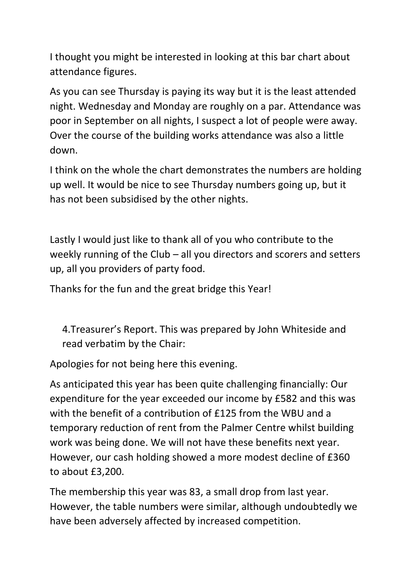I thought you might be interested in looking at this bar chart about attendance figures.

As you can see Thursday is paying its way but it is the least attended night. Wednesday and Monday are roughly on a par. Attendance was poor in September on all nights, I suspect a lot of people were away. Over the course of the building works attendance was also a little down.

I think on the whole the chart demonstrates the numbers are holding up well. It would be nice to see Thursday numbers going up, but it has not been subsidised by the other nights.

Lastly I would just like to thank all of you who contribute to the weekly running of the Club – all you directors and scorers and setters up, all you providers of party food.

Thanks for the fun and the great bridge this Year!

4.Treasurer's Report. This was prepared by John Whiteside and read verbatim by the Chair:

Apologies for not being here this evening.

As anticipated this year has been quite challenging financially: Our expenditure for the year exceeded our income by £582 and this was with the benefit of a contribution of £125 from the WBU and a temporary reduction of rent from the Palmer Centre whilst building work was being done. We will not have these benefits next year. However, our cash holding showed a more modest decline of £360 to about £3,200.

The membership this year was 83, a small drop from last year. However, the table numbers were similar, although undoubtedly we have been adversely affected by increased competition.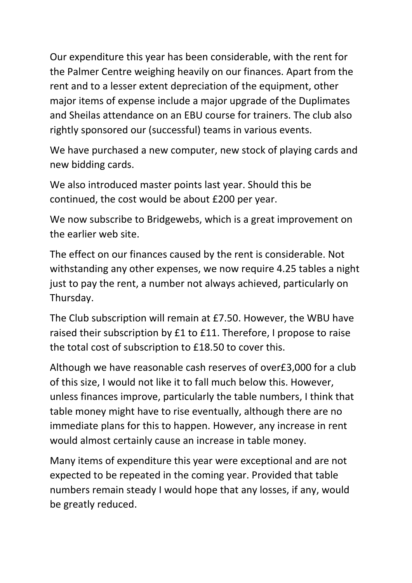Our expenditure this year has been considerable, with the rent for the Palmer Centre weighing heavily on our finances. Apart from the rent and to a lesser extent depreciation of the equipment, other major items of expense include a major upgrade of the Duplimates and Sheilas attendance on an EBU course for trainers. The club also rightly sponsored our (successful) teams in various events.

We have purchased a new computer, new stock of playing cards and new bidding cards.

We also introduced master points last year. Should this be continued, the cost would be about £200 per year.

We now subscribe to Bridgewebs, which is a great improvement on the earlier web site.

The effect on our finances caused by the rent is considerable. Not withstanding any other expenses, we now require 4.25 tables a night just to pay the rent, a number not always achieved, particularly on Thursday.

The Club subscription will remain at £7.50. However, the WBU have raised their subscription by £1 to £11. Therefore, I propose to raise the total cost of subscription to £18.50 to cover this.

Although we have reasonable cash reserves of over£3,000 for a club of this size, I would not like it to fall much below this. However, unless finances improve, particularly the table numbers, I think that table money might have to rise eventually, although there are no immediate plans for this to happen. However, any increase in rent would almost certainly cause an increase in table money.

Many items of expenditure this year were exceptional and are not expected to be repeated in the coming year. Provided that table numbers remain steady I would hope that any losses, if any, would be greatly reduced.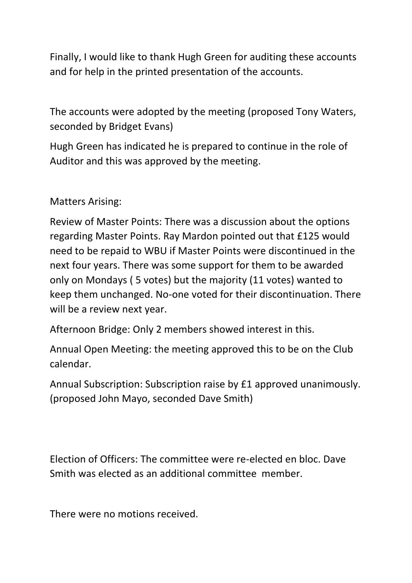Finally, I would like to thank Hugh Green for auditing these accounts and for help in the printed presentation of the accounts.

The accounts were adopted by the meeting (proposed Tony Waters, seconded by Bridget Evans)

Hugh Green has indicated he is prepared to continue in the role of Auditor and this was approved by the meeting.

Matters Arising:

Review of Master Points: There was a discussion about the options regarding Master Points. Ray Mardon pointed out that £125 would need to be repaid to WBU if Master Points were discontinued in the next four years. There was some support for them to be awarded only on Mondays ( 5 votes) but the majority (11 votes) wanted to keep them unchanged. No-one voted for their discontinuation. There will be a review next year.

Afternoon Bridge: Only 2 members showed interest in this.

Annual Open Meeting: the meeting approved this to be on the Club calendar.

Annual Subscription: Subscription raise by £1 approved unanimously. (proposed John Mayo, seconded Dave Smith)

Election of Officers: The committee were re-elected en bloc. Dave Smith was elected as an additional committee member.

There were no motions received.